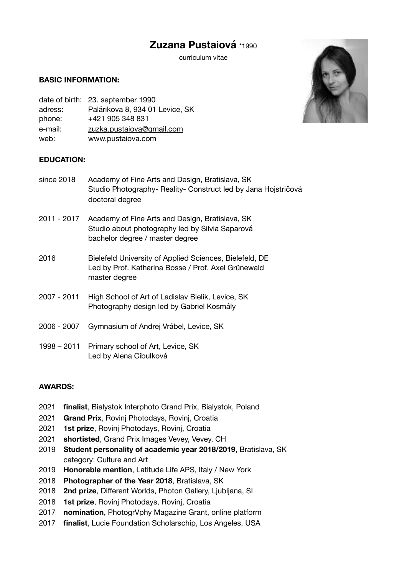# **Zuzana Pustaiová** \*1990

curriculum vitae

#### **BASIC INFORMATION:**

|         | date of birth: 23. september 1990 |
|---------|-----------------------------------|
| adress: | Palárikova 8, 934 01 Levice, SK   |
| phone:  | +421 905 348 831                  |
| e-mail: | zuzka.pustaiova@gmail.com         |
| web:    | www.pustaiova.com                 |

#### **EDUCATION:**

| since 2018  | Academy of Fine Arts and Design, Bratislava, SK<br>Studio Photography- Reality- Construct led by Jana Hojstričová<br>doctoral degree  |
|-------------|---------------------------------------------------------------------------------------------------------------------------------------|
| 2011 - 2017 | Academy of Fine Arts and Design, Bratislava, SK<br>Studio about photography led by Silvia Saparová<br>bachelor degree / master degree |
| 2016        | Bielefeld University of Applied Sciences, Bielefeld, DE<br>Led by Prof. Katharina Bosse / Prof. Axel Grünewald<br>master degree       |
| 2007 - 2011 | High School of Art of Ladislav Bielik, Levice, SK<br>Photography design led by Gabriel Kosmály                                        |
| 2006 - 2007 | Gymnasium of Andrej Vrábel, Levice, SK                                                                                                |
| 1998 – 2011 | Primary school of Art, Levice, SK<br>Led by Alena Cibulková                                                                           |

## **AWARDS:**

- 2021 **finalist**, Bialystok Interphoto Grand Prix, Bialystok, Poland
- 2021 **Grand Prix**, Rovinj Photodays, Rovinj, Croatia
- 2021 **1st prize**, Rovinj Photodays, Rovinj, Croatia
- 2021 **shortisted**, Grand Prix Images Vevey, Vevey, CH
- 2019 **Student personality of academic year 2018/2019**, Bratislava, SK category: Culture and Art
- 2019 **Honorable mention**, Latitude Life APS, Italy / New York
- 2018 **Photographer of the Year 2018**, Bratislava, SK
- 2018 **2nd prize**, Different Worlds, Photon Gallery, Ljubljana, SI
- 2018 **1st prize**, Rovinj Photodays, Rovinj, Croatia
- 2017 **nomination**, [PhotogrVphy Magazine](http://photogrvphy.com/) Grant, online platform
- 2017 **finalist**, Lucie Foundation Scholarschip, Los Angeles, USA

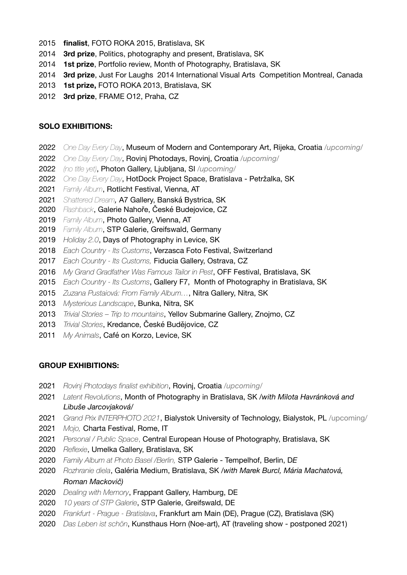- **finalist**, FOTO ROKA 2015, Bratislava, SK
- **3rd prize**, Politics, photography and present, Bratislava, SK
- **1st prize**, Portfolio review, Month of Photography, Bratislava, SK
- **3rd prize**, Just For Laughs 2014 International Visual Arts Competition Montreal, Canada
- **1st prize,** FOTO ROKA 2013, Bratislava, SK
- **3rd prize**, FRAME O12, Praha, CZ

## **SOLO EXHIBITIONS:**

- *One Day Every Day*, Museum of Modern and Contemporary Art, Rijeka, Croatia */upcoming/*
- *One Day Every Day*, Rovinj Photodays, Rovinj, Croatia */upcoming/*
- *(no title yet)*, Photon Gallery, Ljubljana, SI */upcoming/*
- *One Day Every Day*, HotDock Project Space, Bratislava Petržalka, SK
- *Family Album*, Rotlicht Festival, Vienna, AT
- *Shattered Dream,* A7 Gallery, Banská Bystrica, SK
- *Flashback*, Galerie Nahoře, České Budejovice, CZ
- *Family Album*, Photo Gallery, Vienna, AT
- *Family Album*, STP Galerie, Greifswald, Germany
- *Holiday 2.0*, Days of Photography in Levice, SK
- *Each Country Its Customs*, Verzasca Foto Festival, Switzerland
- *Each Country Its Customs,* Fiducia Gallery, Ostrava, CZ
- *My Grand Gradfather Was Famous Tailor in Pest*, OFF Festival, Bratislava, SK
- *Each Country Its Customs*, Gallery F7, Month of Photography in Bratislava, SK
- *Zuzana Pustaiová: From Family Album…*, Nitra Gallery, Nitra, SK
- *Mysterious Landscape*, Bunka, Nitra, SK
- *Trivial Stories Trip to mountains*, Yellov Submarine Gallery, Znojmo, CZ
- *Trivial Stories*, Kredance, České Budějovice, CZ
- *My Animals*, Café on Korzo, Levice, SK

## **GROUP EXHIBITIONS:**

- *Rovinj Photodays finalist exhibition*, Rovinj, Croatia */upcoming/*
- *Latent Revolutions*, Month of Photography in Bratislava, SK /*with Milota Havránková and Libuše Jarcovjaková/*
- *Grand Prix INTERPHOTO 2021*, Bialystok University of Technology, Bialystok, PL /upcoming/
- *Mojo,* Charta Festival, Rome, IT
- *Personal / Public Space*, Central European House of Photography, Bratislava, SK
- *Reflexie*, Umelka Gallery, Bratislava, SK
- *Family Album at Photo Basel /Berlin,* STP Galerie Tempelhof, Berlin, D*E*
- *Rozhranie diela*, Galéria Medium, Bratislava, SK */with Marek Burcl, Mária Machatová, Roman Mackovič)*
- *Dealing with Memory*, Frappant Gallery, Hamburg, DE
- *10 years of STP Galerie*, STP Galerie, Greifswald, DE
- *Frankfurt Prague Bratislava*, Frankfurt am Main (DE), Prague (CZ), Bratislava (SK)
- *Das Leben ist schön*, Kunsthaus Horn (Noe-art), AT (traveling show postponed 2021)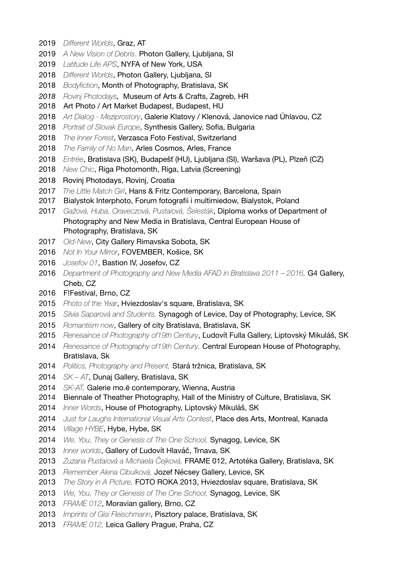- *Different Worlds*, Graz, AT
- *A New Vision of Debris.* Photon Gallery, Ljubljana, SI
- *Latitude Life APS*, NYFA of New York, USA
- *Different Worlds*, Photon Gallery, Ljubljana, SI
- *Bodyfiction*, Month of Photography, Bratislava, SK
- *Rovinj Photodays,* Museum of Arts & Crafts, Zagreb, HR
- Art Photo / Art Market Budapest, Budapest, HU
- *Art Dialog Meziprostory*, Galerie Klatovy / Klenová, Janovice nad Úhlavou, CZ
- *Portrait of Slovak Europe*, Synthesis Gallery, Sofia, Bulgaria
- *The Inner Forest*, Verzasca Foto Festival, Switzerland
- *The Family of No Man*, Arles Cosmos, Arles, France
- *Entrée*, Bratislava (SK), Budapešť (HU), Ljubljana (SI), Waršava (PL), Plzeň (CZ)
- *New Chic*, Riga Photomonth, Riga, Latvia (Screening)
- 2018 Rovinj Photodays, Rovinj, Croatia
- *The Little Match Girl*, Hans & Fritz Contemporary, Barcelona, Spain
- Bialystok Interphoto, Forum fotografii i multimiedow, Bialystok, Poland
- *Gažová, Huba, Oraveczová, Pustaiová, Šelesták*, Diploma works of Department of Photography and New Media in Bratislava, Central European House of Photography, Bratislava, SK
- *Old-New*, City Gallery Rimavska Sobota, SK
- *Not In Your Mirror*, FOVEMBER, Košice, SK
- *Josefov 01*, Bastion IV, Josefov, CZ
- *Department of Photography and New Media AFAD in Bratislava 2011 2016,* G4 Gallery, Cheb, CZ
- F!Festival, Brno, CZ
- *Photo of the Year*, Hviezdoslav's square, Bratislava, SK
- *Silvia Saparová and Students,* Synagogh of Levice, Day of Photography, Levice, SK
- *Romantism now*, Gallery of city Bratislava, Bratislava, SK
- *Renesaince of Photography of19th Century*, Ľudovít Fulla Gallery, Liptovský Mikuláš, SK
- *Renesaince of Photography of19th Century,* Central European House of Photography, Bratislava, Sk
- *Politics, Photography and Present,* Stará tržnica, Bratislava, SK
- *SK AT*, Dunaj Gallery, Bratislava, SK
- *SK-AT,* Galerie mo.ë contemporary, Wienna, Austria
- Biennale of Theather Photography, Hall of the Ministry of Culture, Bratislava, SK
- *Inner Words*, House of Photography, Liptovský Mikuláš, SK
- *Just for Laughs International Visual Arts Contest*, Place des Arts, Montreal, Kanada
- *Village HYBE*, Hybe, Hybe, SK
- *We, You, They or Genesis of The One School,* Synagog, Levice, SK
- *Inner worlds*, Gallery of Ľudovít Hlaváč, Trnava, SK
- *Zuzana Pustaiová a Michaela Čejková,* FRAME 012, Artotéka Gallery, Bratislava, SK
- *Remember Alena Cibulková,* Jozef Nécsey Gallery, Levice, SK
- *The Story in A Picture,* FOTO ROKA 2013, Hviezdoslav square, Bratislava, SK
- *We, You, They or Genesis of The One School,* Synagog, Levice, SK
- *FRAME 012*, Moravian gallery, Brno, CZ
- *Imprints of Gisi Fleischmann*, Pisztory palace, Bratislava, SK
- *FRAME 012,* Leica Gallery Prague, Praha, CZ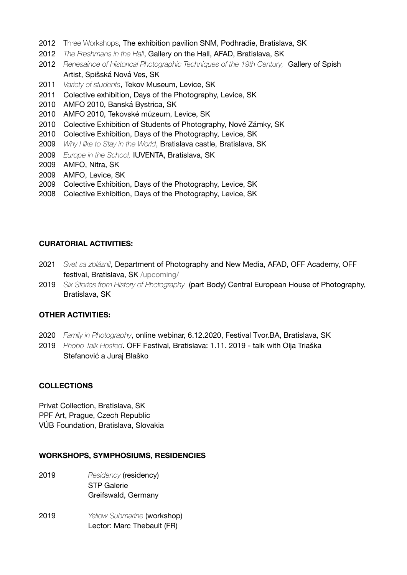- 2012 Three Workshops, The exhibition pavilion SNM, Podhradie, Bratislava, SK
- 2012 *The Freshmans in the Hall*, Gallery on the Hall, AFAD, Bratislava, SK
- 2012 *Renesaince of Historical Photographic Techniques of the 19th Century*, Gallery of Spish Artist, Spišská Nová Ves, SK
- 2011 *Variety of students*, Tekov Museum, Levice, SK
- 2011 Colective exhibition, Days of the Photography, Levice, SK
- 2010 AMFO 2010, Banská Bystrica, SK
- 2010 AMFO 2010, Tekovské múzeum, Levice, SK
- 2010 Colective Exhibition of Students of Photography, Nové Zámky, SK
- 2010 Colective Exhibition, Days of the Photography, Levice, SK
- 2009 *Why I like to Stay in the World*, Bratislava castle, Bratislava, SK
- 2009 *Europe in the School,* IUVENTA, Bratislava, SK
- 2009 AMFO, Nitra, SK
- 2009 AMFO, Levice, SK
- 2009 Colective Exhibition, Days of the Photography, Levice, SK
- 2008 Colective Exhibition, Days of the Photography, Levice, SK

#### **CURATORIAL ACTIVITIES:**

- 2021 *Svet sa zbláznil*, Department of Photography and New Media, AFAD, OFF Academy, OFF festival, Bratislava, SK /upcoming/
- 2019 *Six Stories from History of Photography* (part Body) Central European House of Photography, Bratislava, SK

## **OTHER ACTIVITIES:**

- 2020 *Family in Photography*, online webinar, 6.12.2020, Festival Tvor.BA, Bratislava, SK
- 2019 *Phobo Talk Hosted*. OFF Festival, Bratislava: 1.11. 2019 talk with Olja Triaška Stefanović a Juraj Blaško

## **COLLECTIONS**

Privat Collection, Bratislava, SK PPF Art, Prague, Czech Republic VÚB Foundation, Bratislava, Slovakia

## **WORKSHOPS, SYMPHOSIUMS, RESIDENCIES**

- 2019 **Residency (residency)**  STP Galerie Greifswald, Germany
- 2019 *Yellow Submarine* (workshop) Lector: Marc Thebault (FR)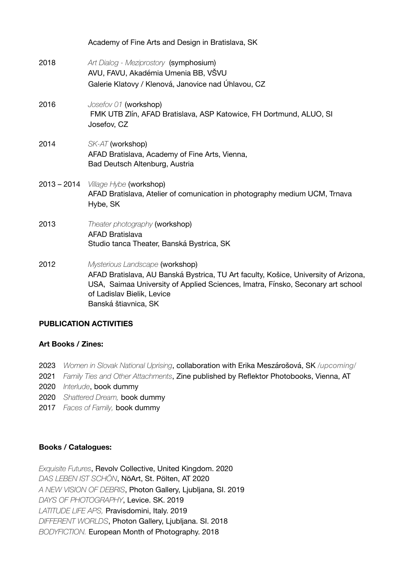|      | Academy of Fine Arts and Design in Bratislava, SK                                                                                                                                                                                                               |
|------|-----------------------------------------------------------------------------------------------------------------------------------------------------------------------------------------------------------------------------------------------------------------|
| 2018 | Art Dialog - Meziprostory (symphosium)<br>AVU, FAVU, Akadémia Umenia BB, VŠVU<br>Galerie Klatovy / Klenová, Janovice nad Úhlavou, CZ                                                                                                                            |
| 2016 | Josefov 01 (workshop)<br>FMK UTB ZIín, AFAD Bratislava, ASP Katowice, FH Dortmund, ALUO, SI<br>Josefov, CZ                                                                                                                                                      |
| 2014 | SK-AT (workshop)<br>AFAD Bratislava, Academy of Fine Arts, Vienna,<br>Bad Deutsch Altenburg, Austria                                                                                                                                                            |
|      | $2013 - 2014$ <i>Village Hybe</i> (workshop)<br>AFAD Bratislava, Atelier of comunication in photography medium UCM, Trnava<br>Hybe, SK                                                                                                                          |
| 2013 | Theater photography (workshop)<br><b>AFAD Bratislava</b><br>Studio tanca Theater, Banská Bystrica, SK                                                                                                                                                           |
| 2012 | Mysterious Landscape (workshop)<br>AFAD Bratislava, AU Banská Bystrica, TU Art faculty, Košice, University of Arizona,<br>USA, Saimaa University of Applied Sciences, Imatra, Fínsko, Seconary art school<br>of Ladislav Bielik, Levice<br>Banská štiavnica, SK |

## **PUBLICATION ACTIVITIES**

## **Art Books / Zines:**

- 2023 *Women in Slovak National Uprising*, collaboration with Erika Meszárošová, SK */upcoming/*
- 2021 *Family Ties and Other Attachments*, Zine published by Reflektor Photobooks, Vienna, AT
- 2020 *Interlude*, book dummy
- 2020 *Shattered Dream,* book dummy
- 2017 *Faces of Family,* book dummy

## **Books / Catalogues:**

*Exquisite Futures*, Revolv Collective, United Kingdom. 2020 *DAS LEBEN IST SCHÖN*, NöArt, St. Pölten, AT 2020 *A NEW VISION OF DEBRIS*, Photon Gallery, Ljubljana, SI. 2019 *DAYS OF PHOTOGRAPHY*, Levice. SK. 2019 *LATITUDE LIFE APS,* Pravisdomini, Italy. 2019 *DIFFERENT WORLDS*, Photon Gallery, Ljubljana. SI. 2018 *BODYFICTION.* European Month of Photography. 2018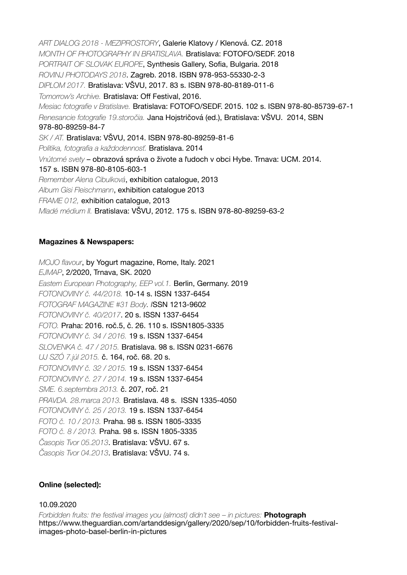*ART DIALOG 2018 - MEZIPROSTORY*, Galerie Klatovy / Klenová. CZ. 2018 *MONTH OF PHOTOGRAPHY IN BRATISLAVA.* Bratislava: FOTOFO/SEDF. 2018 *PORTRAIT OF SLOVAK EUROPE*, Synthesis Gallery, Sofia, Bulgaria. 2018 *ROVINJ PHOTODAYS 2018*. Zagreb. 2018. ISBN 978-953-55330-2-3 *DIPLOM 2017.* Bratislava: VŠVU, 2017. 83 s. ISBN 978-80-8189-011-6 *Tomorrow's Archive.* Bratislava: Off Festival, 2016. *Mesiac fotografie v Bratislave.* Bratislava: FOTOFO/SEDF. 2015. 102 s. ISBN 978-80-85739-67-1 *Renesancie fotografie 19.storočia.* Jana Hojstričová (ed.), Bratislava: VŠVU. 2014, SBN 978-80-89259-84-7 *SK / AT.* Bratislava: VŠVU, 2014. ISBN 978-80-89259-81-6 *Politika, fotografia a každodennosť.* Bratislava. 2014 *Vnútorné svety* – obrazová správa o živote a ľudoch v obci Hybe. Trnava: UCM. 2014. 157 s. ISBN 978-80-8105-603-1 *Remember Alena Cibulková*, exhibition catalogue, 2013 *Album Gisi Fleischmann*, exhibition catalogue 2013 *FRAME 012,* exhibition catalogue, 2013 *Mladé médium II.* Bratislava: VŠVU, 2012. 175 s. ISBN 978-80-89259-63-2

#### **Magazines & Newspapers:**

*MOJO flavour*, by Yogurt magazine, Rome, Italy. 2021 *EJMAP*, 2/2020, Trnava, SK. 2020 *Eastern European Photography, EEP vol.1.* Berlin, Germany. 2019 *FOTONOVINY č. 44/2018.* 10-14 s. ISSN 1337-6454 *FOTOGRAF MAGAZINE #31 Body. I*SSN 1213-9602 *FOTONOVINY č. 40/2017*. 20 s. ISSN 1337-6454 *FOTO.* Praha: 2016. roč.5, č. 26. 110 s. ISSN1805-3335 *FOTONOVINY č. 34 / 2016.* 19 s. ISSN 1337-6454 *SLOVENKA č. 47 / 2015.* Bratislava. 98 s. ISSN 0231-6676 *UJ SZÓ 7.júl 2015.* č. 164, roč. 68. 20 s. *FOTONOVINY č. 32 / 2015.* 19 s. ISSN 1337-6454 *FOTONOVINY č. 27 / 2014.* 19 s. ISSN 1337-6454 *SME. 6.septembra 2013.* č. 207, roč. 21 *PRAVDA. 28.marca 2013.* Bratislava. 48 s. ISSN 1335-4050 *FOTONOVINY č. 25 / 2013.* 19 s. ISSN 1337-6454 *FOTO č. 10 / 2013.* Praha. 98 s. ISSN 1805-3335 *FOTO č. 8 / 2013.* Praha. 98 s. ISSN 1805-3335 *Časopis Tvor 05.2013*. Bratislava: VŠVU. 67 s. *Časopis Tvor 04.2013*. Bratislava: VŠVU. 74 s.

#### **Online (selected):**

#### 10.09.2020

*Forbidden fruits: the festival images you (almost) didn't see – in pictures:* **Photograph** https://www.theguardian.com/artanddesign/gallery/2020/sep/10/forbidden-fruits-festivalimages-photo-basel-berlin-in-pictures